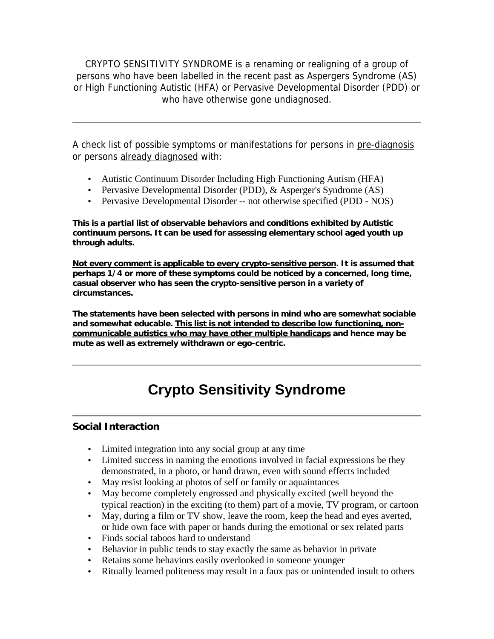CRYPTO SENSITIVITY SYNDROME is a renaming or realigning of a group of persons who have been labelled in the recent past as Aspergers Syndrome (AS) or High Functioning Autistic (HFA) or Pervasive Developmental Disorder (PDD) or who have otherwise gone undiagnosed.

A check list of possible symptoms or manifestations for persons in pre-diagnosis or persons already diagnosed with:

- Autistic Continuum Disorder Including High Functioning Autism (HFA)
- Pervasive Developmental Disorder (PDD), & Asperger's Syndrome (AS)
- Pervasive Developmental Disorder -- not otherwise specified (PDD NOS)

**This is a partial list of observable behaviors and conditions exhibited by Autistic continuum persons. It can be used for assessing elementary school aged youth up through adults.**

**Not every comment is applicable to every crypto-sensitive person. It is assumed that perhaps 1/4 or more of these symptoms could be noticed by a concerned, long time, casual observer who has seen the crypto-sensitive person in a variety of circumstances.**

**The statements have been selected with persons in mind who are somewhat sociable and somewhat educable. This list is not intended to describe low functioning, noncommunicable autistics who may have other multiple handicaps and hence may be mute as well as extremely withdrawn or ego-centric.**

# **Crypto Sensitivity Syndrome**

#### **Social Interaction**

- Limited integration into any social group at any time
- Limited success in naming the emotions involved in facial expressions be they demonstrated, in a photo, or hand drawn, even with sound effects included
- May resist looking at photos of self or family or aquaintances
- May become completely engrossed and physically excited (well beyond the typical reaction) in the exciting (to them) part of a movie, TV program, or cartoon
- May, during a film or TV show, leave the room, keep the head and eyes averted, or hide own face with paper or hands during the emotional or sex related parts
- Finds social taboos hard to understand
- Behavior in public tends to stay exactly the same as behavior in private
- Retains some behaviors easily overlooked in someone younger
- Ritually learned politeness may result in a faux pas or unintended insult to others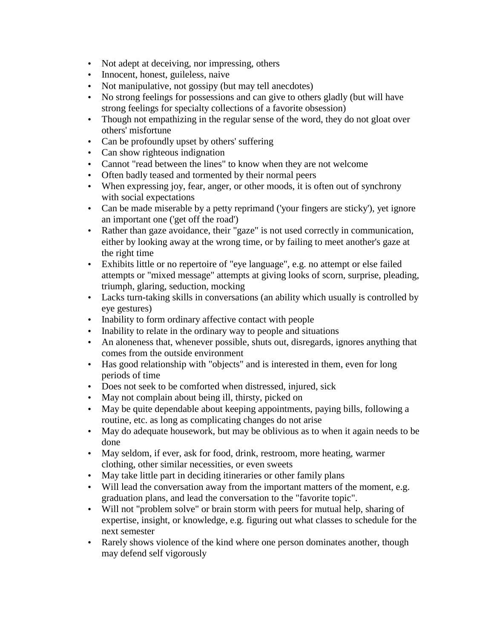- Not adept at deceiving, nor impressing, others
- Innocent, honest, guileless, naive
- Not manipulative, not gossipy (but may tell anecdotes)
- No strong feelings for possessions and can give to others gladly (but will have strong feelings for specialty collections of a favorite obsession)
- Though not empathizing in the regular sense of the word, they do not gloat over others' misfortune
- Can be profoundly upset by others' suffering
- Can show righteous indignation
- Cannot "read between the lines" to know when they are not welcome
- Often badly teased and tormented by their normal peers
- When expressing joy, fear, anger, or other moods, it is often out of synchrony with social expectations
- Can be made miserable by a petty reprimand ('your fingers are sticky'), yet ignore an important one ('get off the road')
- Rather than gaze avoidance, their "gaze" is not used correctly in communication, either by looking away at the wrong time, or by failing to meet another's gaze at the right time
- Exhibits little or no repertoire of "eye language", e.g. no attempt or else failed attempts or "mixed message" attempts at giving looks of scorn, surprise, pleading, triumph, glaring, seduction, mocking
- Lacks turn-taking skills in conversations (an ability which usually is controlled by eye gestures)
- Inability to form ordinary affective contact with people
- Inability to relate in the ordinary way to people and situations
- An aloneness that, whenever possible, shuts out, disregards, ignores anything that comes from the outside environment
- Has good relationship with "objects" and is interested in them, even for long periods of time
- Does not seek to be comforted when distressed, injured, sick
- May not complain about being ill, thirsty, picked on
- May be quite dependable about keeping appointments, paying bills, following a routine, etc. as long as complicating changes do not arise
- May do adequate housework, but may be oblivious as to when it again needs to be done
- May seldom, if ever, ask for food, drink, restroom, more heating, warmer clothing, other similar necessities, or even sweets
- May take little part in deciding itineraries or other family plans
- Will lead the conversation away from the important matters of the moment, e.g. graduation plans, and lead the conversation to the "favorite topic".
- Will not "problem solve" or brain storm with peers for mutual help, sharing of expertise, insight, or knowledge, e.g. figuring out what classes to schedule for the next semester
- Rarely shows violence of the kind where one person dominates another, though may defend self vigorously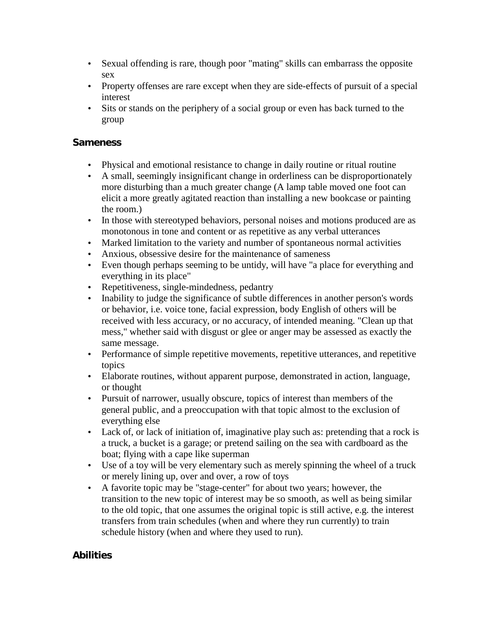- Sexual offending is rare, though poor "mating" skills can embarrass the opposite sex
- Property offenses are rare except when they are side-effects of pursuit of a special interest
- Sits or stands on the periphery of a social group or even has back turned to the group

## **Sameness**

- Physical and emotional resistance to change in daily routine or ritual routine
- A small, seemingly insignificant change in orderliness can be disproportionately more disturbing than a much greater change (A lamp table moved one foot can elicit a more greatly agitated reaction than installing a new bookcase or painting the room.)
- In those with stereotyped behaviors, personal noises and motions produced are as monotonous in tone and content or as repetitive as any verbal utterances
- Marked limitation to the variety and number of spontaneous normal activities
- Anxious, obsessive desire for the maintenance of sameness
- Even though perhaps seeming to be untidy, will have "a place for everything and everything in its place"
- Repetitiveness, single-mindedness, pedantry
- Inability to judge the significance of subtle differences in another person's words or behavior, i.e. voice tone, facial expression, body English of others will be received with less accuracy, or no accuracy, of intended meaning. "Clean up that mess," whether said with disgust or glee or anger may be assessed as exactly the same message.
- Performance of simple repetitive movements, repetitive utterances, and repetitive topics
- Elaborate routines, without apparent purpose, demonstrated in action, language, or thought
- Pursuit of narrower, usually obscure, topics of interest than members of the general public, and a preoccupation with that topic almost to the exclusion of everything else
- Lack of, or lack of initiation of, imaginative play such as: pretending that a rock is a truck, a bucket is a garage; or pretend sailing on the sea with cardboard as the boat; flying with a cape like superman
- Use of a toy will be very elementary such as merely spinning the wheel of a truck or merely lining up, over and over, a row of toys
- A favorite topic may be "stage-center" for about two years; however, the transition to the new topic of interest may be so smooth, as well as being similar to the old topic, that one assumes the original topic is still active, e.g. the interest transfers from train schedules (when and where they run currently) to train schedule history (when and where they used to run).

### **Abilities**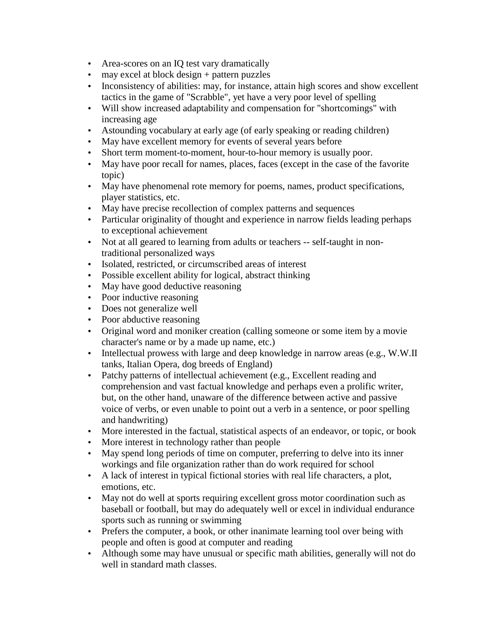- Area-scores on an IQ test vary dramatically
- may excel at block design + pattern puzzles
- Inconsistency of abilities: may, for instance, attain high scores and show excellent tactics in the game of "Scrabble", yet have a very poor level of spelling
- Will show increased adaptability and compensation for "shortcomings" with increasing age
- Astounding vocabulary at early age (of early speaking or reading children)
- May have excellent memory for events of several years before
- Short term moment-to-moment, hour-to-hour memory is usually poor.
- May have poor recall for names, places, faces (except in the case of the favorite topic)
- May have phenomenal rote memory for poems, names, product specifications, player statistics, etc.
- May have precise recollection of complex patterns and sequences
- Particular originality of thought and experience in narrow fields leading perhaps to exceptional achievement
- Not at all geared to learning from adults or teachers -- self-taught in nontraditional personalized ways
- Isolated, restricted, or circumscribed areas of interest
- Possible excellent ability for logical, abstract thinking
- May have good deductive reasoning
- Poor inductive reasoning
- Does not generalize well
- Poor abductive reasoning
- Original word and moniker creation (calling someone or some item by a movie character's name or by a made up name, etc.)
- Intellectual prowess with large and deep knowledge in narrow areas (e.g., W.W.II tanks, Italian Opera, dog breeds of England)
- Patchy patterns of intellectual achievement (e.g., Excellent reading and comprehension and vast factual knowledge and perhaps even a prolific writer, but, on the other hand, unaware of the difference between active and passive voice of verbs, or even unable to point out a verb in a sentence, or poor spelling and handwriting)
- More interested in the factual, statistical aspects of an endeavor, or topic, or book
- More interest in technology rather than people
- May spend long periods of time on computer, preferring to delve into its inner workings and file organization rather than do work required for school
- A lack of interest in typical fictional stories with real life characters, a plot, emotions, etc.
- May not do well at sports requiring excellent gross motor coordination such as baseball or football, but may do adequately well or excel in individual endurance sports such as running or swimming
- Prefers the computer, a book, or other inanimate learning tool over being with people and often is good at computer and reading
- Although some may have unusual or specific math abilities, generally will not do well in standard math classes.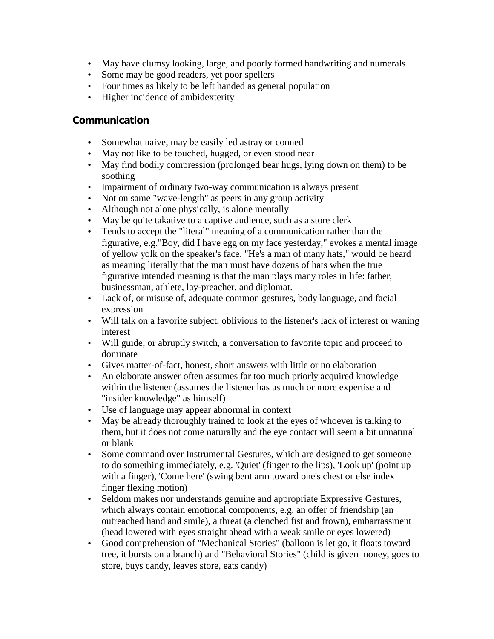- May have clumsy looking, large, and poorly formed handwriting and numerals
- Some may be good readers, yet poor spellers
- Four times as likely to be left handed as general population
- Higher incidence of ambidexterity

### **Communication**

- Somewhat naive, may be easily led astray or conned
- May not like to be touched, hugged, or even stood near
- May find bodily compression (prolonged bear hugs, lying down on them) to be soothing
- Impairment of ordinary two-way communication is always present
- Not on same "wave-length" as peers in any group activity
- Although not alone physically, is alone mentally
- May be quite takative to a captive audience, such as a store clerk
- Tends to accept the "literal" meaning of a communication rather than the figurative, e.g."Boy, did I have egg on my face yesterday," evokes a mental image of yellow yolk on the speaker's face. "He's a man of many hats," would be heard as meaning literally that the man must have dozens of hats when the true figurative intended meaning is that the man plays many roles in life: father, businessman, athlete, lay-preacher, and diplomat.
- Lack of, or misuse of, adequate common gestures, body language, and facial expression
- Will talk on a favorite subject, oblivious to the listener's lack of interest or waning interest
- Will guide, or abruptly switch, a conversation to favorite topic and proceed to dominate
- Gives matter-of-fact, honest, short answers with little or no elaboration
- An elaborate answer often assumes far too much priorly acquired knowledge within the listener (assumes the listener has as much or more expertise and "insider knowledge" as himself)
- Use of language may appear abnormal in context
- May be already thoroughly trained to look at the eyes of whoever is talking to them, but it does not come naturally and the eye contact will seem a bit unnatural or blank
- Some command over Instrumental Gestures, which are designed to get someone to do something immediately, e.g. 'Quiet' (finger to the lips), 'Look up' (point up with a finger), 'Come here' (swing bent arm toward one's chest or else index finger flexing motion)
- Seldom makes nor understands genuine and appropriate Expressive Gestures, which always contain emotional components, e.g. an offer of friendship (an outreached hand and smile), a threat (a clenched fist and frown), embarrassment (head lowered with eyes straight ahead with a weak smile or eyes lowered)
- Good comprehension of "Mechanical Stories" (balloon is let go, it floats toward tree, it bursts on a branch) and "Behavioral Stories" (child is given money, goes to store, buys candy, leaves store, eats candy)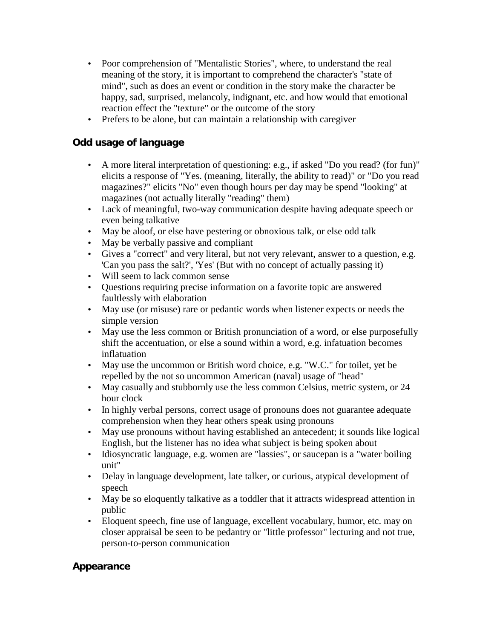- Poor comprehension of "Mentalistic Stories", where, to understand the real meaning of the story, it is important to comprehend the character's "state of mind", such as does an event or condition in the story make the character be happy, sad, surprised, melancoly, indignant, etc. and how would that emotional reaction effect the "texture" or the outcome of the story
- Prefers to be alone, but can maintain a relationship with caregiver

## **Odd usage of language**

- A more literal interpretation of questioning: e.g., if asked "Do you read? (for fun)" elicits a response of "Yes. (meaning, literally, the ability to read)" or "Do you read magazines?" elicits "No" even though hours per day may be spend "looking" at magazines (not actually literally "reading" them)
- Lack of meaningful, two-way communication despite having adequate speech or even being talkative
- May be aloof, or else have pestering or obnoxious talk, or else odd talk
- May be verbally passive and compliant
- Gives a "correct" and very literal, but not very relevant, answer to a question, e.g. 'Can you pass the salt?', 'Yes' (But with no concept of actually passing it)
- Will seem to lack common sense
- Questions requiring precise information on a favorite topic are answered faultlessly with elaboration
- May use (or misuse) rare or pedantic words when listener expects or needs the simple version
- May use the less common or British pronunciation of a word, or else purposefully shift the accentuation, or else a sound within a word, e.g. infatuation becomes inflatuation
- May use the uncommon or British word choice, e.g. "W.C." for toilet, yet be repelled by the not so uncommon American (naval) usage of "head"
- May casually and stubbornly use the less common Celsius, metric system, or 24 hour clock
- In highly verbal persons, correct usage of pronouns does not guarantee adequate comprehension when they hear others speak using pronouns
- May use pronouns without having established an antecedent; it sounds like logical English, but the listener has no idea what subject is being spoken about
- Idiosyncratic language, e.g. women are "lassies", or saucepan is a "water boiling unit"
- Delay in language development, late talker, or curious, atypical development of speech
- May be so eloquently talkative as a toddler that it attracts widespread attention in public
- Eloquent speech, fine use of language, excellent vocabulary, humor, etc. may on closer appraisal be seen to be pedantry or "little professor" lecturing and not true, person-to-person communication

## **Appearance**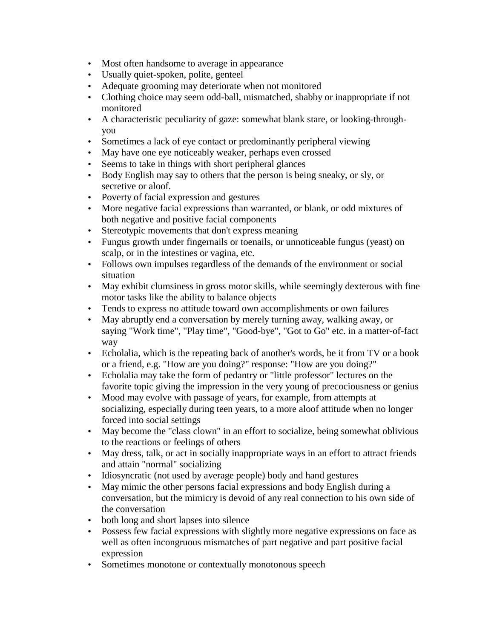- Most often handsome to average in appearance
- Usually quiet-spoken, polite, genteel
- Adequate grooming may deteriorate when not monitored
- Clothing choice may seem odd-ball, mismatched, shabby or inappropriate if not monitored
- A characteristic peculiarity of gaze: somewhat blank stare, or looking-throughyou
- Sometimes a lack of eye contact or predominantly peripheral viewing
- May have one eye noticeably weaker, perhaps even crossed
- Seems to take in things with short peripheral glances
- Body English may say to others that the person is being sneaky, or sly, or secretive or aloof.
- Poverty of facial expression and gestures
- More negative facial expressions than warranted, or blank, or odd mixtures of both negative and positive facial components
- Stereotypic movements that don't express meaning
- Fungus growth under fingernails or toenails, or unnoticeable fungus (yeast) on scalp, or in the intestines or vagina, etc.
- Follows own impulses regardless of the demands of the environment or social situation
- May exhibit clumsiness in gross motor skills, while seemingly dexterous with fine motor tasks like the ability to balance objects
- Tends to express no attitude toward own accomplishments or own failures
- May abruptly end a conversation by merely turning away, walking away, or saying "Work time", "Play time", "Good-bye", "Got to Go" etc. in a matter-of-fact way
- Echolalia, which is the repeating back of another's words, be it from TV or a book or a friend, e.g. "How are you doing?" response: "How are you doing?"
- Echolalia may take the form of pedantry or "little professor" lectures on the favorite topic giving the impression in the very young of precociousness or genius
- Mood may evolve with passage of years, for example, from attempts at socializing, especially during teen years, to a more aloof attitude when no longer forced into social settings
- May become the "class clown" in an effort to socialize, being somewhat oblivious to the reactions or feelings of others
- May dress, talk, or act in socially inappropriate ways in an effort to attract friends and attain "normal" socializing
- Idiosyncratic (not used by average people) body and hand gestures
- May mimic the other persons facial expressions and body English during a conversation, but the mimicry is devoid of any real connection to his own side of the conversation
- both long and short lapses into silence
- Possess few facial expressions with slightly more negative expressions on face as well as often incongruous mismatches of part negative and part positive facial expression
- Sometimes monotone or contextually monotonous speech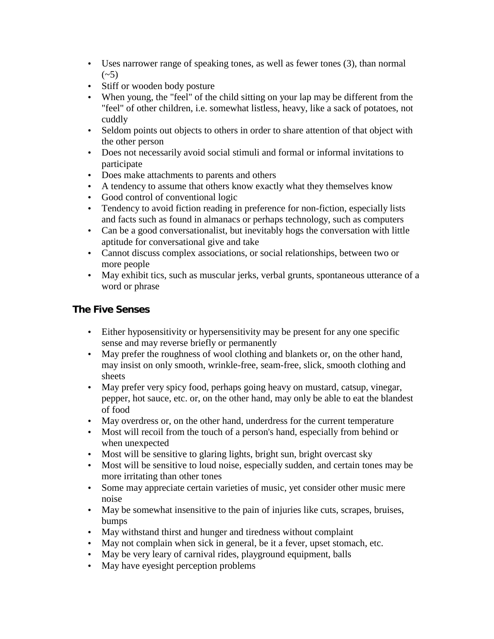- Uses narrower range of speaking tones, as well as fewer tones (3), than normal  $({\sim}5)$
- Stiff or wooden body posture
- When young, the "feel" of the child sitting on your lap may be different from the "feel" of other children, i.e. somewhat listless, heavy, like a sack of potatoes, not cuddly
- Seldom points out objects to others in order to share attention of that object with the other person
- Does not necessarily avoid social stimuli and formal or informal invitations to participate
- Does make attachments to parents and others
- A tendency to assume that others know exactly what they themselves know
- Good control of conventional logic
- Tendency to avoid fiction reading in preference for non-fiction, especially lists and facts such as found in almanacs or perhaps technology, such as computers
- Can be a good conversationalist, but inevitably hogs the conversation with little aptitude for conversational give and take
- Cannot discuss complex associations, or social relationships, between two or more people
- May exhibit tics, such as muscular jerks, verbal grunts, spontaneous utterance of a word or phrase

## **The Five Senses**

- Either hyposensitivity or hypersensitivity may be present for any one specific sense and may reverse briefly or permanently
- May prefer the roughness of wool clothing and blankets or, on the other hand, may insist on only smooth, wrinkle-free, seam-free, slick, smooth clothing and sheets
- May prefer very spicy food, perhaps going heavy on mustard, catsup, vinegar, pepper, hot sauce, etc. or, on the other hand, may only be able to eat the blandest of food
- May overdress or, on the other hand, underdress for the current temperature
- Most will recoil from the touch of a person's hand, especially from behind or when unexpected
- Most will be sensitive to glaring lights, bright sun, bright overcast sky
- Most will be sensitive to loud noise, especially sudden, and certain tones may be more irritating than other tones
- Some may appreciate certain varieties of music, yet consider other music mere noise
- May be somewhat insensitive to the pain of injuries like cuts, scrapes, bruises, bumps
- May withstand thirst and hunger and tiredness without complaint
- May not complain when sick in general, be it a fever, upset stomach, etc.
- May be very leary of carnival rides, playground equipment, balls
- May have eyesight perception problems